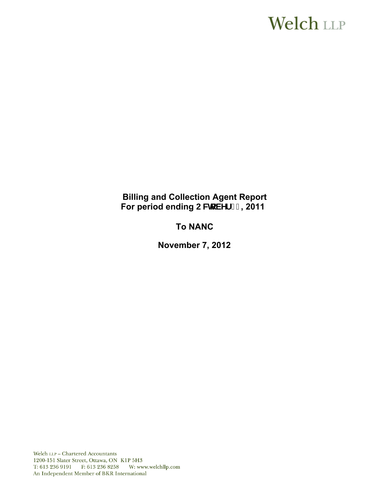# **Welch LLP**

# **Billing and Collection Agent Report**  For period ending CWcVYf ' % 2011

# **To NANC**

 **November 7, 2012** 

Welch LLP - Chartered Accountants 1200-151 Slater Street, Ottawa, ON K1P 5H3 T: 613 236 9191 F: 613 236 8258 W: www.welchllp.com An Independent Member of BKR International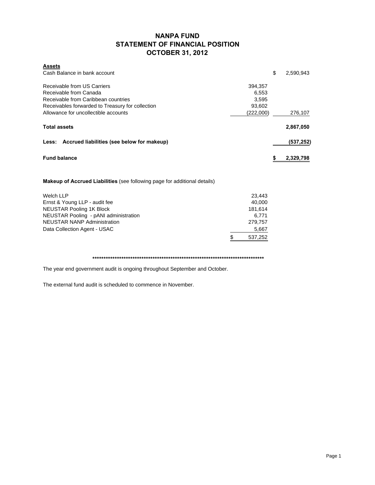### **NANPA FUND STATEMENT OF FINANCIAL POSITION OCTOBER 31, 2012**

| \$<br>Cash Balance in bank account<br>2,590,943<br>Receivable from US Carriers<br>394,357<br>Receivable from Canada<br>6,553 |  |
|------------------------------------------------------------------------------------------------------------------------------|--|
|                                                                                                                              |  |
|                                                                                                                              |  |
|                                                                                                                              |  |
| Receivable from Caribbean countries<br>3.595                                                                                 |  |
| Receivables forwarded to Treasury for collection<br>93,602                                                                   |  |
| Allowance for uncollectible accounts<br>(222,000)<br>276,107                                                                 |  |
| <b>Total assets</b><br>2,867,050                                                                                             |  |
| Less: Accrued liabilities (see below for makeup)<br>(537, 252)                                                               |  |
| <b>Fund balance</b><br>2,329,798<br>S                                                                                        |  |

**Makeup of Accrued Liabilities** (see following page for additional details)

| Welch LLP                             | 23.443       |
|---------------------------------------|--------------|
| Ernst & Young LLP - audit fee         | 40.000       |
| <b>NEUSTAR Pooling 1K Block</b>       | 181,614      |
| NEUSTAR Pooling - pANI administration | 6.771        |
| <b>NEUSTAR NANP Administration</b>    | 279.757      |
| Data Collection Agent - USAC          | 5,667        |
|                                       | 537,252<br>S |
|                                       |              |

**\*\*\*\*\*\*\*\*\*\*\*\*\*\*\*\*\*\*\*\*\*\*\*\*\*\*\*\*\*\*\*\*\*\*\*\*\*\*\*\*\*\*\*\*\*\*\*\*\*\*\*\*\*\*\*\*\*\*\*\*\*\*\*\*\*\*\*\*\*\*\*\*\*\*\*\*\***

The year end government audit is ongoing throughout September and October.

The external fund audit is scheduled to commence in November.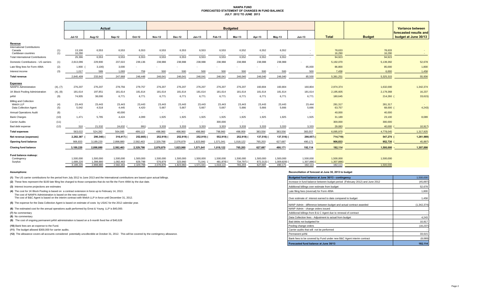#### **NANPA FUND FORECASTED STATEMENT OF CHANGES IN FUND BALANCE JULY 2012 TO JUNE 2013**

|                                                |            | <b>Actual</b>            |                        |                        |                      | <b>Budgeted</b>      |                      |                     |                       |                     |                     |                          |                          |                       |                     | Variance between                               |
|------------------------------------------------|------------|--------------------------|------------------------|------------------------|----------------------|----------------------|----------------------|---------------------|-----------------------|---------------------|---------------------|--------------------------|--------------------------|-----------------------|---------------------|------------------------------------------------|
|                                                |            | <b>Jul-12</b>            | Aug-12                 | Sep-12                 | Oct-12               | <b>Nov-12</b>        | Dec-12               | $Jan-13$            | Feb-13                | <b>Mar-13</b>       | Apr-13              | $May-13$                 | <b>Jun-13</b>            | <b>Total</b>          | <b>Budget</b>       | forecasted results and<br>budget at June 30/13 |
| Revenue<br><b>International Contributions</b>  |            |                          |                        |                        |                      |                      |                      |                     |                       |                     |                     |                          |                          |                       |                     |                                                |
| Canada<br>Caribbean countries                  | (1)<br>(1) | 13,106<br>16,290         | 6,553<br>$\sim$        | 6,553<br>$\sim$        | 6,553<br>$\sim$      | 6,553<br>$\sim$      | 6,553<br>$\sim$      | 6,553<br>$\sim$ $-$ | 6,553<br>$\sim$       | 6,552<br>$\sim$     | 6,552<br>$\sim$     | 6,552<br>$\sim$          | $\sim$                   | 78,633<br>16,290      | 78,633<br>16,290    | $\sim$                                         |
| <b>Total International Contributions</b>       |            | 29.396                   | 6,553                  | 6.553                  | 6.553                | 6.553                | 6,553                | 6,553               | 6,553                 | 6.552               | 6.552               | 6,552                    |                          | 94,923                | 94,923              |                                                |
| Domestic Contributions - US carriers           | (1)        | 2,813,096                | 229,900                | 237,022                | 239,136              | 238,988              | 238,988              | 238,988             | 238,988               | 238,988             | 238,988             | 238,988                  |                          | 5,192,070             | 5,139,392           | 52,678                                         |
| Late filing fees for Form 499A                 | (2)        | 1,900                    | 3,100                  | 3,000                  |                      |                      |                      |                     |                       |                     |                     |                          | 85,000                   | 86,800                | 85,000              | 1,800                                          |
| Interest income                                | (3)        | 1,017                    | 589                    | 1,093                  | 759                  | 500                  | 500                  | 500                 | 500                   | 500                 | 500                 | 500                      | 500                      | 7,458                 | 6,000               | 1,458                                          |
| <b>Total revenue</b>                           |            | 2.845.409                | 233.942                | 247.668                | 246,448              | 246.041              | 246.041              | 246,041             | 246.041               | 246.040             | 246.040             | 246.040                  | 85,500                   | 5,381,251             | 5,325,315           | 55,936                                         |
| <b>Expenses</b><br><b>NANPA Administration</b> | (4), (7)   | 276,207                  | 276,207                | 278,756                | 279,757              | 276,207              | 276,207              | 276,207             | 276,207               | 276,207             | 160,804             | 160,804                  | 160,804                  | 2,974,374             | 1,632,000           | 1,342,374                                      |
| 1K Block Pooling Administration                | (4), (8)   | 181,614                  | 197,851                | 181,614                | 181,614              | 181,614              | 181,614              | 181,614             | 181,614               | 181,614             | 181,614             | 181,614                  | 181,614                  | 2,195,605             | 2,179,368           | 16,237                                         |
| pANI                                           | (9)        | 74,935                   | 38,000                 | 6,771                  | 6,771                | 6,771                | 6,771                | 6,771               | 6,771                 | 6,771               | 6,771               | 6,771                    | 6,771                    | 180,645               | 214,260 (           | 33,615)                                        |
| <b>Billing and Collection</b>                  |            |                          |                        |                        |                      |                      |                      |                     |                       |                     |                     |                          |                          |                       |                     |                                                |
| Welch LLP<br>Data Collection Agent             | (4)<br>(5) | 23,443<br>5,042          | 23,443<br>4,518        | 23,443<br>4,445        | 23,443<br>4,420      | 23,443<br>5,667      | 23,443<br>5,667      | 23,443<br>5,667     | 23,443<br>5,667       | 23,443<br>5,666     | 23,443<br>5,666     | 23,443<br>5,666          | 23,444<br>5,666          | 281,317<br>63,757     | 281,317<br>68,000 ( | 4,243                                          |
| <b>Annual Operations Audit</b>                 | (6)        | $\sim$                   | $\sim$                 | 40,000                 | $\sim$               | $\sim$               |                      | $\sim$              | $\sim$                | $\sim$              | $\sim$              |                          | $\overline{\phantom{a}}$ | 40,000                | 40,000              |                                                |
| <b>Bank Charges</b>                            | (10)       | 1.471                    | 5.795                  | 4.424                  | 4.099                | 1.925                | 1,925                | 1,925               | 1,925                 | 1,925               | 1.925               | 1,925                    | 1,925                    | 31,189                | 23,100              | 8,089                                          |
| <b>Carrier Audits</b>                          | (11)       | $\overline{\phantom{a}}$ | $\sim$                 | $\sim$                 |                      | $\sim$               |                      | $\sim$              | 300,000               | $\sim$              | <b>CONTRACTOR</b>   | $\overline{\phantom{a}}$ | $\sim$                   | 300,000               | 300,000             |                                                |
| Bad debt expense                               | (12)       | 310                      | 21.532                 | 24.632                 | 991)                 | 3.333                | 3.333                | 3.333               | 3.333                 | 3.333               | 3.333               | 3.333                    | 3.333                    | 29,083                | 40,000              | 10,917                                         |
| <b>Total expenses</b>                          |            | 563,022                  | 524,282                | 564,085                | 499,113              | 498,960              | 498,960              | 498,960             | 798,960               | 498,959             | 383,556             | 383,556                  | 383,557                  | 6,095,970             | 4,778,045           | 1,317,925                                      |
| Net revenue (expenses)                         |            | 2,282,387                | 290,340)               | 316,417)               | 252,665)             | 252,919)             | 252,919)             | 252,919)            | 552,919)              | 252,919)            | 137,516)            | 137,516) (               | 298,057)                 | 714,719)              | 547,270 (           | 1,261,989)                                     |
| Opening fund balance                           |            | 906,833                  | 3,189,220              | 2,898,880              | 2,582,463            | 2,329,798            | 2,076,879            | 1,823,960           | 1,571,041             | 1,018,122           | 765,203             | 627,687                  | 490,171                  | 906,833               | 952,730             | 45,897                                         |
| <b>Closing fund balance</b>                    |            | 3,189,220                | 2,898,880              | 2,582,463              | 2,329,798            | 2,076,879            | 1,823,960            | 1,571,041           | 1,018,122             | 765,203             | 627,687             | 490,171                  | 192,114                  | 192,114               | 1.500.000           | 1,307,88                                       |
| Fund balance makeup:<br>Contingency            |            | 1.500.000                | 1.500.000              | 1.500.000              | 1.500.000            | 1.500.000            | 1.500.000            | 1.500.000           | 1.500.000             | 1.500.000           | 1.500.000           | 1.500.000                | 1,500,000                | 1,500,000             | 1,500,000           |                                                |
| Surplus                                        |            | 1,689,220<br>3,189,220   | 1,398,880<br>2,898,880 | 1,082,463<br>2,582,463 | 829,798<br>2,329,798 | 576,879<br>2,076,879 | 323,960<br>1,823,960 | 71,041<br>1,571,041 | 481,878)<br>1,018,122 | 734,797)<br>765,203 | 872,313)<br>627,687 | 1,009,829)<br>490,171    | 1,307,886)<br>192,114    | 1,307,886)<br>192,114 | $\sim$<br>1.500.000 |                                                |

**(8)** No commentary

#### **Assumptions: Reconciliation of forecast at June 30, 2013 to budget**

| (1) The US carrier contributions for the period from July 2012 to June 2013 and the International contributions are based upon actual billings.                           | Budgeted fund balance at June 30/13 - contingency                            | 1,500,000   |
|---------------------------------------------------------------------------------------------------------------------------------------------------------------------------|------------------------------------------------------------------------------|-------------|
| (2) These fees represent the \$100 late filing fee charged to those companies that do not file the Form 499A by the due date.                                             | Increase in fund balance between budget period (February 2012) and June 2012 | (45, 897)   |
| (3) Interest income projections are estimates                                                                                                                             | Additional billings over estimate from budget                                | 52,678      |
| (4) The cost for 1K Block Pooling is based on a contract extension in force up to February 14, 2013.                                                                      | Late filing fees (reversal) for Form 499A                                    | 1,800       |
| The cost of NANPA Administration is based on the new contract.<br>The cost of B&C Agent is based on the interim contract with Welch LLP in force until December 31, 2012. | Over estimate of interest earned to date compared to budget                  | 1,458       |
| (5) The expense for the Data Collection Agent is based on estimate of costs by USAC for the 2012 calendar year.                                                           | NANP Admin - difference between budget and actual contract awarded           | (1.342.374) |
| (6) The estimated cost for the annual operations audit performed by Ernst & Young LLP is \$40,000.                                                                        | NANP Admin - change orders issued                                            |             |
| (7) No commentary                                                                                                                                                         | Additional billings from B & C Agent due to renewal of contract              |             |
| (8) No commentary                                                                                                                                                         | Data Collection fees - Adiustment to actual from budget                      | 4,243       |
| (9) The cost of ongoing permanent pANI administration is based on a 6-month fixed fee of \$40,628                                                                         | Bad debts not budgeted for                                                   | 10.917      |
| (10) Bank fees are an expense to the Fund.                                                                                                                                | Pooling change orders                                                        | (16, 237)   |
| (11) The budget allowed \$300,000 for carrier audits.                                                                                                                     | Carrier audits that will not be performed                                    |             |
| (12) The allowance covers all accounts considered potentially uncollectible at October 31, 2012. This will be covered by the contingency allowance.                       | Permanent pANi                                                               | 33,615      |
|                                                                                                                                                                           | Bank fees to be covered by Fund under new B&C Agent interim contract         | (8,089)     |
|                                                                                                                                                                           | Forecasted fund balance at June 30/13                                        | 192,114     |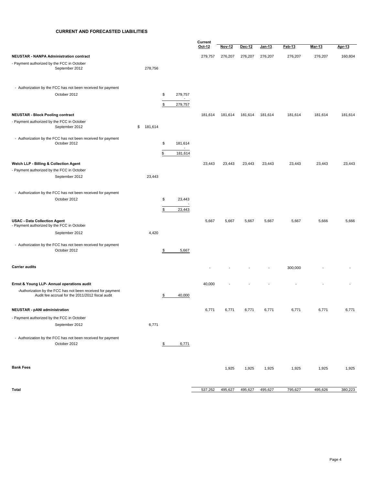#### **CURRENT AND FORECASTED LIABILITIES**

|                                                                                                                 |               |          |                                      | Current |               |         |               |         |         |         |
|-----------------------------------------------------------------------------------------------------------------|---------------|----------|--------------------------------------|---------|---------------|---------|---------------|---------|---------|---------|
|                                                                                                                 |               |          |                                      | Oct 12  | <b>Nov-12</b> | Dec-12  | <u>Jan-13</u> | Feb-13  | Mar-13  | Apr-13  |
| <b>NEUSTAR - NANPA Administration contract</b>                                                                  |               |          |                                      | 279,757 | 276,207       | 276,207 | 276,207       | 276,207 | 276,207 | 160,804 |
| - Payment authorized by the FCC in October<br>September 2012                                                    | 278,756       |          |                                      |         |               |         |               |         |         |         |
| - Authorization by the FCC has not been received for payment                                                    |               |          |                                      |         |               |         |               |         |         |         |
| October 2012                                                                                                    |               | \$<br>\$ | 279,757<br>$\blacksquare$<br>279,757 |         |               |         |               |         |         |         |
| <b>NEUSTAR - Block Pooling contract</b>                                                                         |               |          |                                      | 181,614 | 181,614       | 181,614 | 181,614       | 181,614 | 181,614 | 181,614 |
| - Payment authorized by the FCC in October<br>September 2012                                                    | 181,614<br>\$ |          |                                      |         |               |         |               |         |         |         |
| - Authorization by the FCC has not been received for payment                                                    |               |          |                                      |         |               |         |               |         |         |         |
| October 2012                                                                                                    |               | \$       | 181,614<br>$\blacksquare$            |         |               |         |               |         |         |         |
|                                                                                                                 |               | \$       | 181,614                              |         |               |         |               |         |         |         |
| Welch LLP - Billing & Collection Agent<br>- Payment authorized by the FCC in October                            |               |          |                                      | 23,443  | 23,443        | 23,443  | 23,443        | 23,443  | 23,443  | 23,443  |
| September 2012                                                                                                  | 23,443        |          |                                      |         |               |         |               |         |         |         |
| - Authorization by the FCC has not been received for payment                                                    |               |          |                                      |         |               |         |               |         |         |         |
| October 2012                                                                                                    |               | \$       | 23,443                               |         |               |         |               |         |         |         |
|                                                                                                                 |               | \$       | 23,443                               |         |               |         |               |         |         |         |
| <b>USAC - Data Collection Agent</b><br>- Payment authorized by the FCC in October                               |               |          |                                      | 5,667   | 5,667         | 5,667   | 5,667         | 5,667   | 5,666   | 5,666   |
| September 2012                                                                                                  | 4,420         |          |                                      |         |               |         |               |         |         |         |
| - Authorization by the FCC has not been received for payment<br>October 2012                                    |               | \$       | 5,667                                |         |               |         |               |         |         |         |
| <b>Carrier audits</b>                                                                                           |               |          |                                      |         |               |         |               | 300,000 |         |         |
| Ernst & Young LLP- Annual operations audit                                                                      |               |          |                                      | 40,000  |               |         |               |         |         |         |
| -Authorization by the FCC has not been received for payment<br>Audit fee accrual for the 2011/2012 fiscal audit |               | \$       | 40,000                               |         |               |         |               |         |         |         |
| <b>NEUSTAR - pANI administration</b>                                                                            |               |          |                                      | 6,771   | 6,771         | 6,771   | 6,771         | 6,771   | 6,771   | 6,771   |
| - Payment authorized by the FCC in October                                                                      |               |          |                                      |         |               |         |               |         |         |         |
| September 2012                                                                                                  | 6,771         |          |                                      |         |               |         |               |         |         |         |
| - Authorization by the FCC has not been received for payment<br>October 2012                                    |               | \$       | 6,771                                |         |               |         |               |         |         |         |
| <b>Bank Fees</b>                                                                                                |               |          |                                      |         | 1,925         | 1,925   | 1,925         | 1,925   | 1,925   | 1,925   |
| Total                                                                                                           |               |          |                                      | 537,252 | 495,627       | 495,627 | 495,627       | 795,627 | 495,626 | 380,223 |